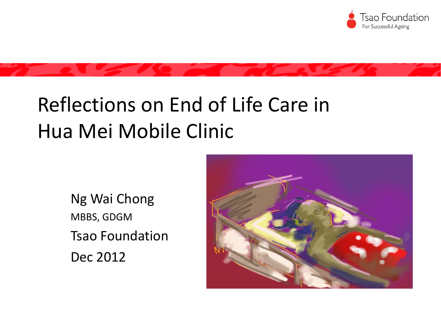

#### Reflections on End of Life Care in Hua Mei Mobile Clinic

Ng Wai Chong MBBS, GDGM Tsao Foundation Dec 2012

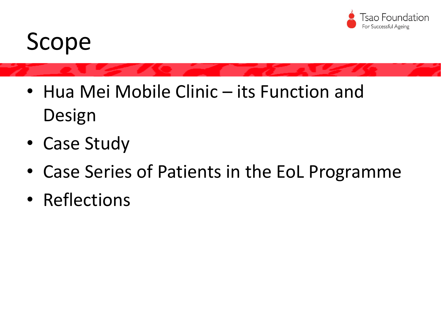

# Scope

- Hua Mei Mobile Clinic its Function and Design
- Case Study
- Case Series of Patients in the EoL Programme
- Reflections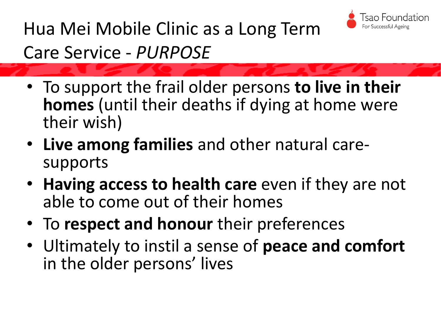

Hua Mei Mobile Clinic as a Long Term Care Service - *PURPOSE*

- To support the frail older persons **to live in their homes** (until their deaths if dying at home were their wish)
- **Live among families** and other natural caresupports
- **Having access to health care** even if they are not able to come out of their homes
- To **respect and honour** their preferences
- Ultimately to instil a sense of **peace and comfort**  in the older persons' lives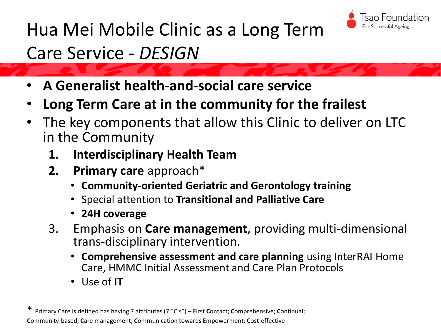

#### Hua Mei Mobile Clinic as a Long Term

#### Care Service - *DESIGN*

- **A Generalist health-and-social care service**
- **Long Term Care at in the community for the frailest**
- The key components that allow this Clinic to deliver on LTC in the Community
	- **1. Interdisciplinary Health Team**
	- **2. Primary care** approach\*
		- **Community-oriented Geriatric and Gerontology training**
		- Special attention to **Transitional and Palliative Care**
		- **24H coverage**
	- 3. Emphasis on **Care management**, providing multi-dimensional trans-disciplinary intervention.
		- **Comprehensive assessment and care planning** using InterRAI Home Care, HMMC Initial Assessment and Care Plan Protocols
		- Use of **IT**

<sup>\*</sup> Primary Care is defined has having 7 attributes (7 "C's") – First **C**ontact; **C**omprehensive; **C**ontinual; **C**ommunity-based; **C**are management; **C**ommunication towards Empowerment; **C**ost-effective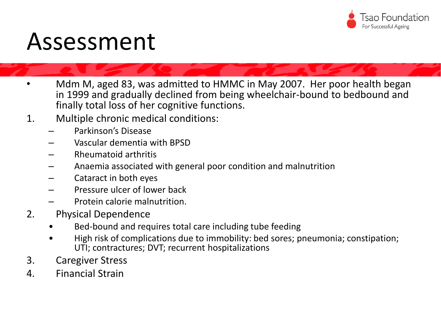

#### Assessment

- Mdm M, aged 83, was admitted to HMMC in May 2007. Her poor health began in 1999 and gradually declined from being wheelchair-bound to bedbound and finally total loss of her cognitive functions.
- 1. Multiple chronic medical conditions:
	- Parkinson's Disease
	- Vascular dementia with BPSD
	- Rheumatoid arthritis
	- Anaemia associated with general poor condition and malnutrition
	- Cataract in both eyes
	- Pressure ulcer of lower back
	- Protein calorie malnutrition.
- 2. Physical Dependence
	- Bed-bound and requires total care including tube feeding
	- High risk of complications due to immobility: bed sores; pneumonia; constipation; UTI; contractures; DVT; recurrent hospitalizations
- 3. Caregiver Stress
- 4. Financial Strain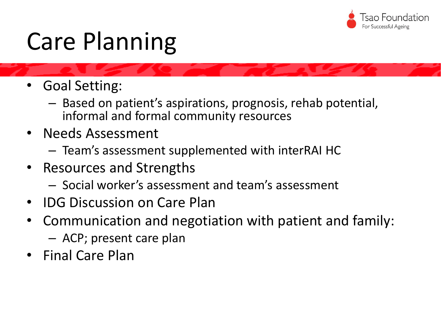

# Care Planning

- Goal Setting:
	- Based on patient's aspirations, prognosis, rehab potential, informal and formal community resources
- Needs Assessment
	- Team's assessment supplemented with interRAI HC
- Resources and Strengths
	- Social worker's assessment and team's assessment
- IDG Discussion on Care Plan
- Communication and negotiation with patient and family: – ACP; present care plan
- Final Care Plan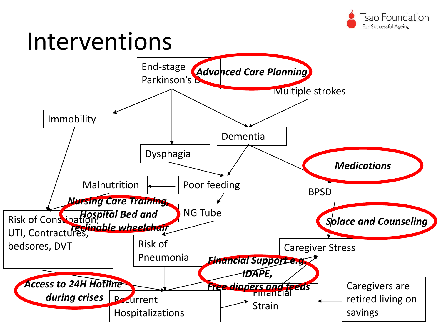

### Interventions

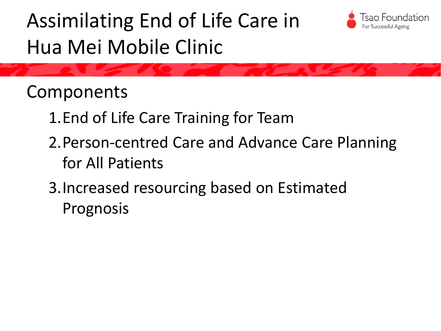### Assimilating End of Life Care in Hua Mei Mobile Clinic



Components

- 1.End of Life Care Training for Team
- 2.Person-centred Care and Advance Care Planning for All Patients
- 3.Increased resourcing based on Estimated Prognosis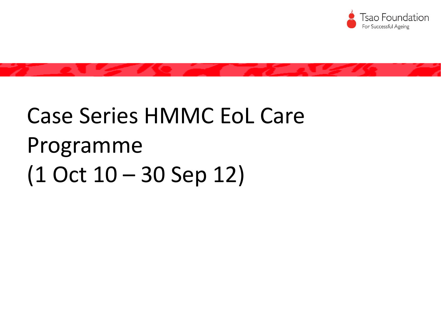

# Case Series HMMC EoL Care Programme (1 Oct 10 – 30 Sep 12)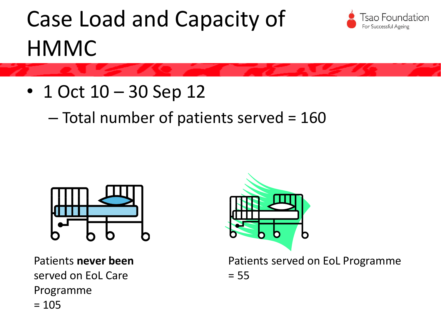# Case Load and Capacity of **HMMC**



• 1 Oct 10 – 30 Sep 12

– Total number of patients served = 160



Patients **never been** served on EoL Care Programme  $= 105$ 



Patients served on EoL Programme  $= 55$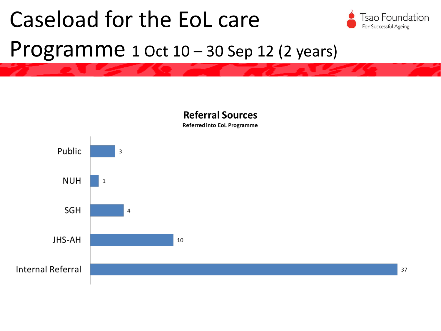# Caseload for the EoL care



#### Programme 1 Oct 10 – 30 Sep 12 (2 years)

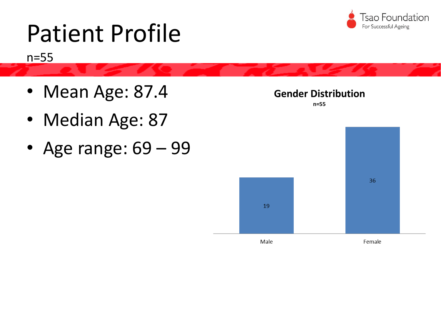

# Patient Profile

n=55

- Mean Age: 87.4
- Median Age: 87
- Age range: 69 99

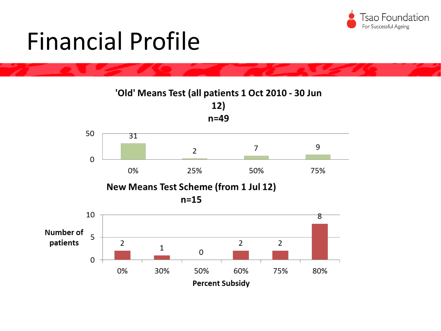

# Financial Profile

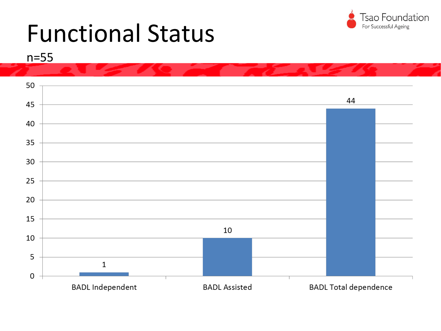

### Functional Status



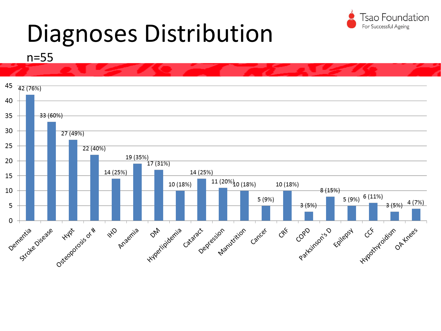

# Diagnoses Distribution

n=55

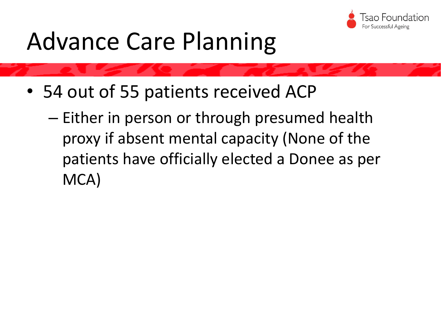

# Advance Care Planning

- 54 out of 55 patients received ACP
	- Either in person or through presumed health proxy if absent mental capacity (None of the patients have officially elected a Donee as per MCA)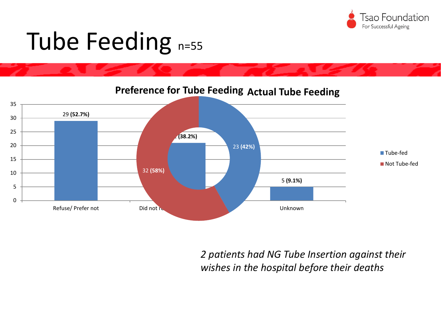

# Tube Feeding n=55

**(52.7%) (38.2%) (9.1%)** Refuse/ Prefer not Did not refuse Feeding Unknown **Preference for Tube Feeding Actual Tube Feeding (42%) (58%)** ■Tube-fed ■ Not Tube-fed

*2 patients had NG Tube Insertion against their wishes in the hospital before their deaths*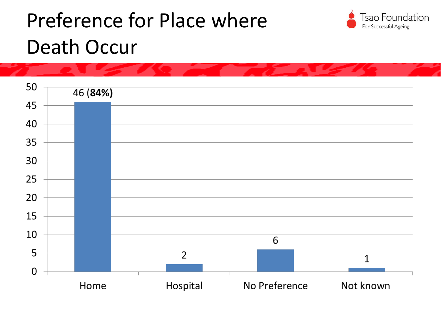### Preference for Place where Death Occur



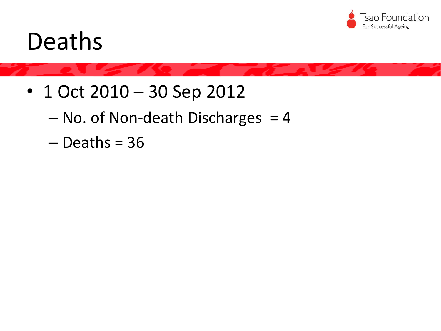

#### Deaths

- 1 Oct 2010 30 Sep 2012
	- $-$  No. of Non-death Discharges  $=$  4
	- $-$  Deaths = 36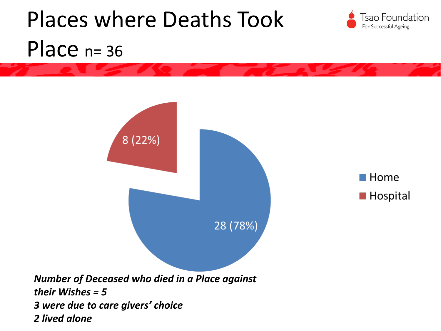# Places where Deaths Took **Tsao Foundation** For Successful Ageing Place  $n=36$ 8 (22%)  $\blacksquare$  Home **Hospital** 28 (78%) *Number of Deceased who died in a Place against their Wishes = 5 3 were due to care givers' choice*

*2 lived alone*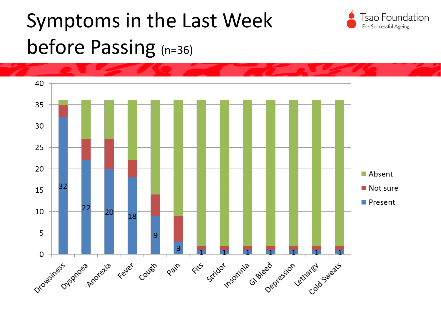### Symptoms in the Last Week before Passing (n=36)



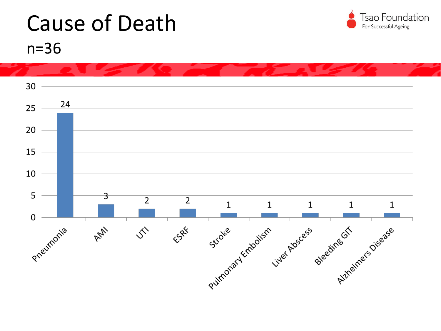

#### Cause of Death n=36

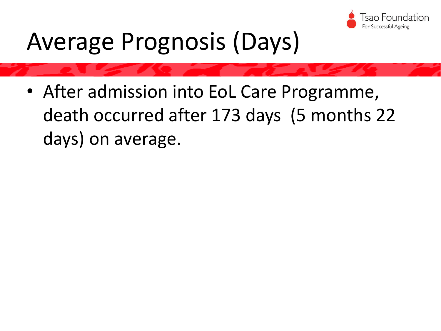

# Average Prognosis (Days)

• After admission into EoL Care Programme, death occurred after 173 days (5 months 22 days) on average.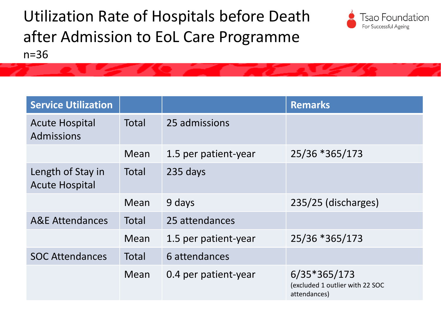Utilization Rate of Hospitals before Death after Admission to EoL Care Programme n=36



| <b>Service Utilization</b>                 |       |                      | <b>Remarks</b>                                                    |
|--------------------------------------------|-------|----------------------|-------------------------------------------------------------------|
| <b>Acute Hospital</b><br>Admissions        | Total | 25 admissions        |                                                                   |
|                                            | Mean  | 1.5 per patient-year | 25/36 *365/173                                                    |
| Length of Stay in<br><b>Acute Hospital</b> | Total | 235 days             |                                                                   |
|                                            | Mean  | 9 days               | 235/25 (discharges)                                               |
| <b>A&amp;E Attendances</b>                 | Total | 25 attendances       |                                                                   |
|                                            | Mean  | 1.5 per patient-year | 25/36 *365/173                                                    |
| <b>SOC Attendances</b>                     | Total | 6 attendances        |                                                                   |
|                                            | Mean  | 0.4 per patient-year | $6/35*365/173$<br>(excluded 1 outlier with 22 SOC<br>attendances) |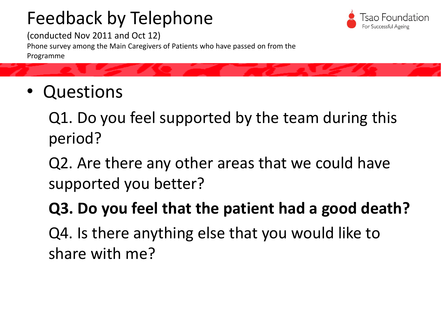#### Feedback by Telephone



(conducted Nov 2011 and Oct 12) Phone survey among the Main Caregivers of Patients who have passed on from the Programme

• Questions

Q1. Do you feel supported by the team during this period?

Q2. Are there any other areas that we could have supported you better?

#### **Q3. Do you feel that the patient had a good death?**

Q4. Is there anything else that you would like to share with me?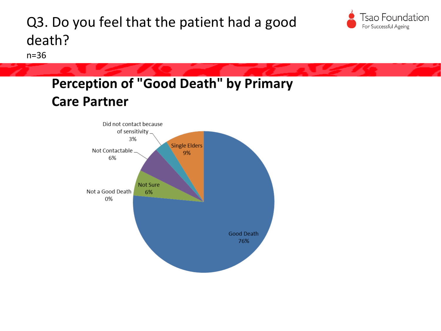#### Q3. Do you feel that the patient had a good death?

n=36

#### **Perception of "Good Death" by Primary Care Partner**



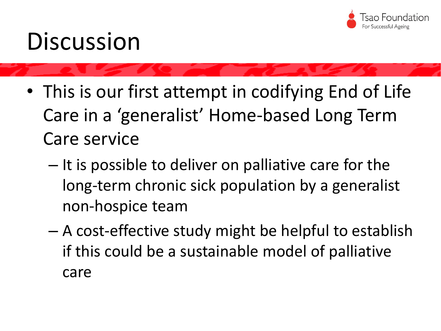

### **Discussion**

- This is our first attempt in codifying End of Life Care in a 'generalist' Home-based Long Term Care service
	- It is possible to deliver on palliative care for the long-term chronic sick population by a generalist non-hospice team
	- A cost-effective study might be helpful to establish if this could be a sustainable model of palliative care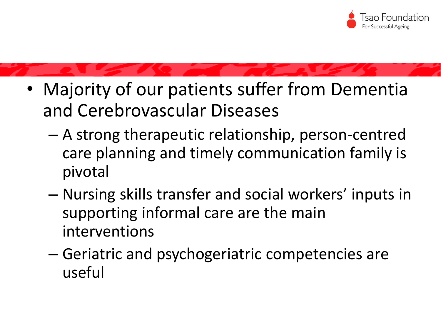

- Majority of our patients suffer from Dementia and Cerebrovascular Diseases
	- A strong therapeutic relationship, person-centred care planning and timely communication family is pivotal
	- Nursing skills transfer and social workers' inputs in supporting informal care are the main interventions
	- Geriatric and psychogeriatric competencies are useful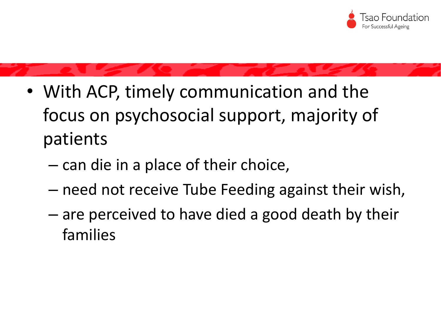

- With ACP, timely communication and the focus on psychosocial support, majority of patients
	- can die in a place of their choice,
	- need not receive Tube Feeding against their wish,
	- are perceived to have died a good death by their families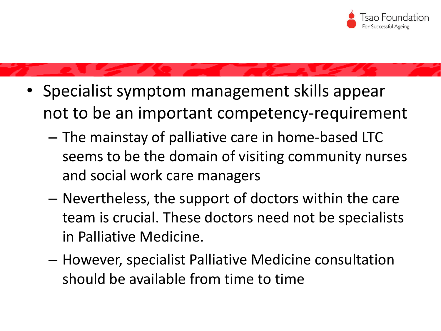

- Specialist symptom management skills appear not to be an important competency-requirement
	- The mainstay of palliative care in home-based LTC seems to be the domain of visiting community nurses and social work care managers
	- Nevertheless, the support of doctors within the care team is crucial. These doctors need not be specialists in Palliative Medicine.
	- However, specialist Palliative Medicine consultation should be available from time to time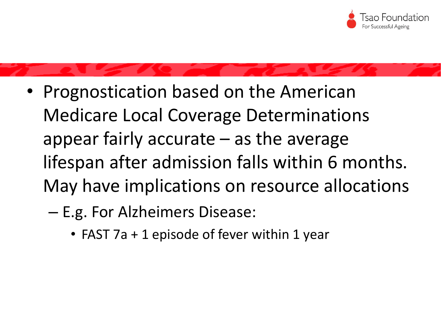

- Prognostication based on the American Medicare Local Coverage Determinations appear fairly accurate – as the average lifespan after admission falls within 6 months. May have implications on resource allocations
	- E.g. For Alzheimers Disease:
		- FAST 7a + 1 episode of fever within 1 year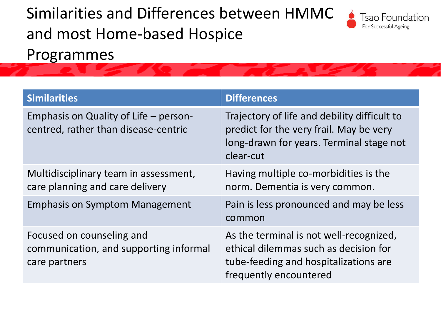#### Similarities and Differences between HMMC and most Home-based Hospice Programmes



| <b>Similarities</b>                                                                  | <b>Differences</b>                                                                                                                                  |
|--------------------------------------------------------------------------------------|-----------------------------------------------------------------------------------------------------------------------------------------------------|
| Emphasis on Quality of Life – person-<br>centred, rather than disease-centric        | Trajectory of life and debility difficult to<br>predict for the very frail. May be very<br>long-drawn for years. Terminal stage not<br>clear-cut    |
| Multidisciplinary team in assessment,<br>care planning and care delivery             | Having multiple co-morbidities is the<br>norm. Dementia is very common.                                                                             |
| <b>Emphasis on Symptom Management</b>                                                | Pain is less pronounced and may be less<br>common                                                                                                   |
| Focused on counseling and<br>communication, and supporting informal<br>care partners | As the terminal is not well-recognized,<br>ethical dilemmas such as decision for<br>tube-feeding and hospitalizations are<br>frequently encountered |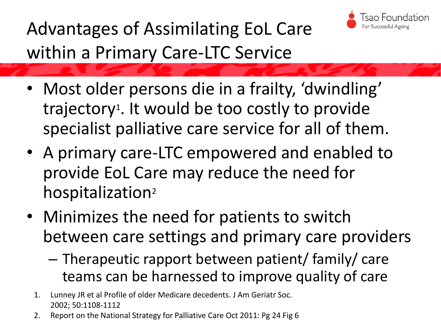

Advantages of Assimilating EoL Care within a Primary Care-LTC Service

- Most older persons die in a frailty, 'dwindling' trajectory<sup>1</sup>. It would be too costly to provide specialist palliative care service for all of them.
- A primary care-LTC empowered and enabled to provide EoL Care may reduce the need for hospitalization<sup>2</sup>
- Minimizes the need for patients to switch between care settings and primary care providers
	- Therapeutic rapport between patient/ family/ care teams can be harnessed to improve quality of care
	- 1. Lunney JR et al Profile of older Medicare decedents. J Am Geriatr Soc. 2002; 50:1108-1112
	- 2. Report on the National Strategy for Palliative Care Oct 2011: Pg 24 Fig 6